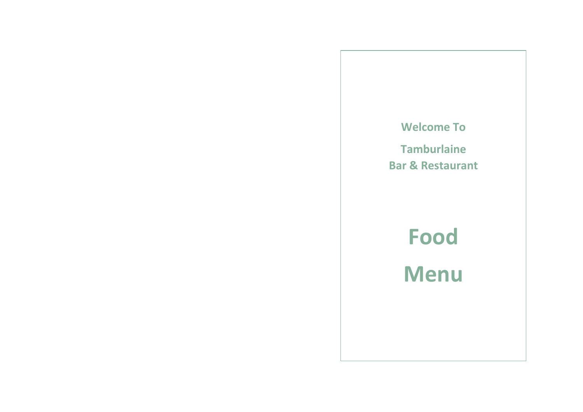# **Welcome To**

**Tamburlaine Bar & Restaurant**

> **Food Menu**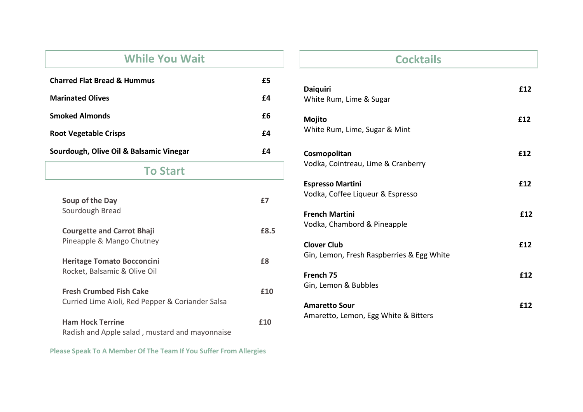## **While You Wait**

| <b>Charred Flat Bread &amp; Hummus</b>  | £5 |
|-----------------------------------------|----|
| <b>Marinated Olives</b>                 | f4 |
| <b>Smoked Almonds</b>                   | fб |
| <b>Root Vegetable Crisps</b>            | f4 |
| Sourdough, Olive Oil & Balsamic Vinegar | fД |

### **To Start**

| Soup of the Day<br>Sourdough Bread                                                 |      |
|------------------------------------------------------------------------------------|------|
| <b>Courgette and Carrot Bhaji</b><br>Pineapple & Mango Chutney                     | £8.5 |
| <b>Heritage Tomato Bocconcini</b><br>Rocket, Balsamic & Olive Oil                  | £8   |
| <b>Fresh Crumbed Fish Cake</b><br>Curried Lime Aioli, Red Pepper & Coriander Salsa | f10  |
| <b>Ham Hock Terrine</b><br>Radish and Apple salad, mustard and mayonnaise          | f10  |

**Please Speak To A Member Of The Team If You Suffer From Allergies**

## **Cocktails**

| <b>Daiquiri</b><br>White Rum, Lime & Sugar                      | £12 |
|-----------------------------------------------------------------|-----|
| Mojito<br>White Rum, Lime, Sugar & Mint                         | £12 |
| Cosmopolitan<br>Vodka, Cointreau, Lime & Cranberry              | £12 |
| <b>Espresso Martini</b><br>Vodka, Coffee Liqueur & Espresso     | £12 |
| <b>French Martini</b><br>Vodka, Chambord & Pineapple            | £12 |
| <b>Clover Club</b><br>Gin, Lemon, Fresh Raspberries & Egg White | £12 |
| French 75<br>Gin, Lemon & Bubbles                               | £12 |
| <b>Amaretto Sour</b><br>Amaretto, Lemon, Egg White & Bitters    | £12 |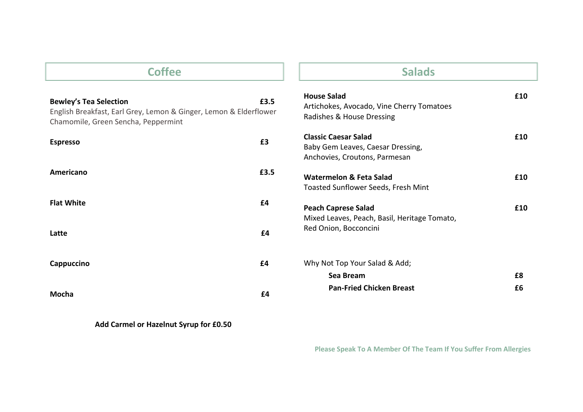| <b>Coffee</b>                                                                                                                             |      | <b>Salads</b>                                                                                     |     |
|-------------------------------------------------------------------------------------------------------------------------------------------|------|---------------------------------------------------------------------------------------------------|-----|
| <b>Bewley's Tea Selection</b><br>English Breakfast, Earl Grey, Lemon & Ginger, Lemon & Elderflower<br>Chamomile, Green Sencha, Peppermint | £3.5 | <b>House Salad</b><br>Artichokes, Avocado, Vine Cherry Tomatoes<br>Radishes & House Dressing      | £10 |
| £3<br><b>Espresso</b>                                                                                                                     |      | <b>Classic Caesar Salad</b><br>Baby Gem Leaves, Caesar Dressing,<br>Anchovies, Croutons, Parmesan | £10 |
| <b>Americano</b>                                                                                                                          | £3.5 | Watermelon & Feta Salad<br>Toasted Sunflower Seeds, Fresh Mint                                    | £10 |
| <b>Flat White</b><br>£4                                                                                                                   |      | <b>Peach Caprese Salad</b><br>Mixed Leaves, Peach, Basil, Heritage Tomato,                        | £10 |
| £4<br>Latte                                                                                                                               |      | Red Onion, Bocconcini                                                                             |     |
| £4<br>Cappuccino                                                                                                                          |      | Why Not Top Your Salad & Add;                                                                     |     |
| £4<br>Mocha                                                                                                                               |      | £8<br>Sea Bream<br><b>Pan-Fried Chicken Breast</b><br>£6                                          |     |

 **Add Carmel or Hazelnut Syrup for £0.50** 

 **Please Speak To A Member Of The Team If You Suffer From Allergies**